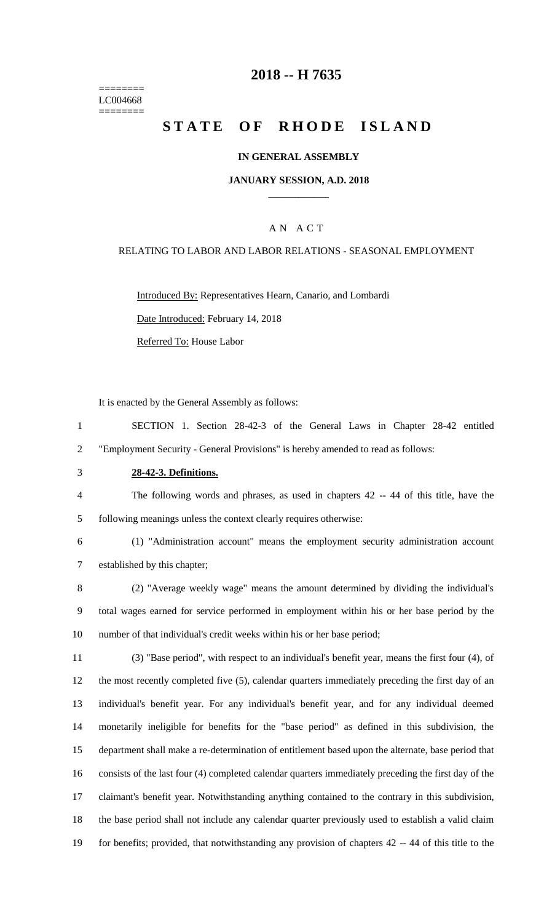======== LC004668 ========

# **-- H 7635**

# **STATE OF RHODE ISLAND**

#### **IN GENERAL ASSEMBLY**

#### **JANUARY SESSION, A.D. 2018 \_\_\_\_\_\_\_\_\_\_\_\_**

## A N A C T

#### RELATING TO LABOR AND LABOR RELATIONS - SEASONAL EMPLOYMENT

Introduced By: Representatives Hearn, Canario, and Lombardi

Date Introduced: February 14, 2018

Referred To: House Labor

It is enacted by the General Assembly as follows:

- SECTION 1. Section 28-42-3 of the General Laws in Chapter 28-42 entitled "Employment Security - General Provisions" is hereby amended to read as follows:
- **28-42-3. Definitions.**
- The following words and phrases, as used in chapters 42 -- 44 of this title, have the following meanings unless the context clearly requires otherwise:
- 

 (1) "Administration account" means the employment security administration account established by this chapter;

 (2) "Average weekly wage" means the amount determined by dividing the individual's total wages earned for service performed in employment within his or her base period by the number of that individual's credit weeks within his or her base period;

 (3) "Base period", with respect to an individual's benefit year, means the first four (4), of the most recently completed five (5), calendar quarters immediately preceding the first day of an individual's benefit year. For any individual's benefit year, and for any individual deemed monetarily ineligible for benefits for the "base period" as defined in this subdivision, the department shall make a re-determination of entitlement based upon the alternate, base period that consists of the last four (4) completed calendar quarters immediately preceding the first day of the claimant's benefit year. Notwithstanding anything contained to the contrary in this subdivision, the base period shall not include any calendar quarter previously used to establish a valid claim for benefits; provided, that notwithstanding any provision of chapters 42 -- 44 of this title to the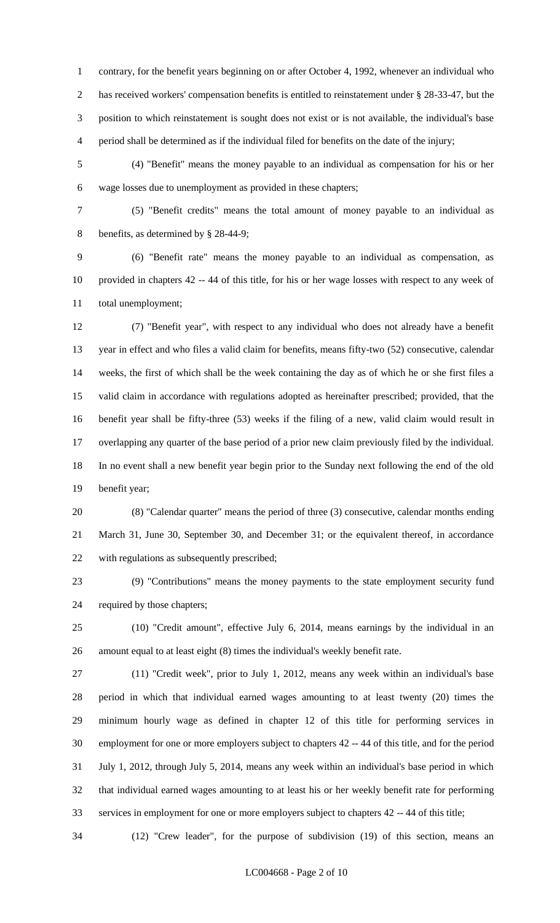contrary, for the benefit years beginning on or after October 4, 1992, whenever an individual who 2 has received workers' compensation benefits is entitled to reinstatement under § 28-33-47, but the position to which reinstatement is sought does not exist or is not available, the individual's base period shall be determined as if the individual filed for benefits on the date of the injury;

 (4) "Benefit" means the money payable to an individual as compensation for his or her wage losses due to unemployment as provided in these chapters;

 (5) "Benefit credits" means the total amount of money payable to an individual as benefits, as determined by § 28-44-9;

 (6) "Benefit rate" means the money payable to an individual as compensation, as provided in chapters 42 -- 44 of this title, for his or her wage losses with respect to any week of total unemployment;

 (7) "Benefit year", with respect to any individual who does not already have a benefit year in effect and who files a valid claim for benefits, means fifty-two (52) consecutive, calendar weeks, the first of which shall be the week containing the day as of which he or she first files a valid claim in accordance with regulations adopted as hereinafter prescribed; provided, that the benefit year shall be fifty-three (53) weeks if the filing of a new, valid claim would result in overlapping any quarter of the base period of a prior new claim previously filed by the individual. In no event shall a new benefit year begin prior to the Sunday next following the end of the old benefit year;

 (8) "Calendar quarter" means the period of three (3) consecutive, calendar months ending March 31, June 30, September 30, and December 31; or the equivalent thereof, in accordance with regulations as subsequently prescribed;

 (9) "Contributions" means the money payments to the state employment security fund required by those chapters;

 (10) "Credit amount", effective July 6, 2014, means earnings by the individual in an amount equal to at least eight (8) times the individual's weekly benefit rate.

 (11) "Credit week", prior to July 1, 2012, means any week within an individual's base period in which that individual earned wages amounting to at least twenty (20) times the minimum hourly wage as defined in chapter 12 of this title for performing services in employment for one or more employers subject to chapters 42 -- 44 of this title, and for the period July 1, 2012, through July 5, 2014, means any week within an individual's base period in which that individual earned wages amounting to at least his or her weekly benefit rate for performing services in employment for one or more employers subject to chapters 42 -- 44 of this title;

(12) "Crew leader", for the purpose of subdivision (19) of this section, means an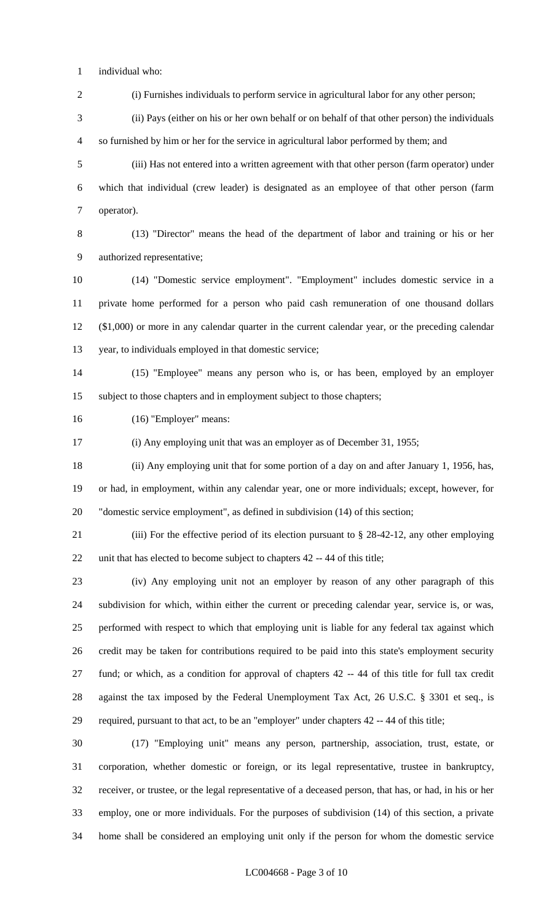individual who:

(i) Furnishes individuals to perform service in agricultural labor for any other person;

 (ii) Pays (either on his or her own behalf or on behalf of that other person) the individuals so furnished by him or her for the service in agricultural labor performed by them; and

 (iii) Has not entered into a written agreement with that other person (farm operator) under which that individual (crew leader) is designated as an employee of that other person (farm operator).

 (13) "Director" means the head of the department of labor and training or his or her authorized representative;

 (14) "Domestic service employment". "Employment" includes domestic service in a private home performed for a person who paid cash remuneration of one thousand dollars (\$1,000) or more in any calendar quarter in the current calendar year, or the preceding calendar year, to individuals employed in that domestic service;

 (15) "Employee" means any person who is, or has been, employed by an employer 15 subject to those chapters and in employment subject to those chapters;

(16) "Employer" means:

(i) Any employing unit that was an employer as of December 31, 1955;

 (ii) Any employing unit that for some portion of a day on and after January 1, 1956, has, or had, in employment, within any calendar year, one or more individuals; except, however, for "domestic service employment", as defined in subdivision (14) of this section;

 (iii) For the effective period of its election pursuant to § 28-42-12, any other employing unit that has elected to become subject to chapters 42 -- 44 of this title;

 (iv) Any employing unit not an employer by reason of any other paragraph of this subdivision for which, within either the current or preceding calendar year, service is, or was, performed with respect to which that employing unit is liable for any federal tax against which credit may be taken for contributions required to be paid into this state's employment security fund; or which, as a condition for approval of chapters 42 -- 44 of this title for full tax credit against the tax imposed by the Federal Unemployment Tax Act, 26 U.S.C. § 3301 et seq., is required, pursuant to that act, to be an "employer" under chapters 42 -- 44 of this title;

 (17) "Employing unit" means any person, partnership, association, trust, estate, or corporation, whether domestic or foreign, or its legal representative, trustee in bankruptcy, receiver, or trustee, or the legal representative of a deceased person, that has, or had, in his or her employ, one or more individuals. For the purposes of subdivision (14) of this section, a private home shall be considered an employing unit only if the person for whom the domestic service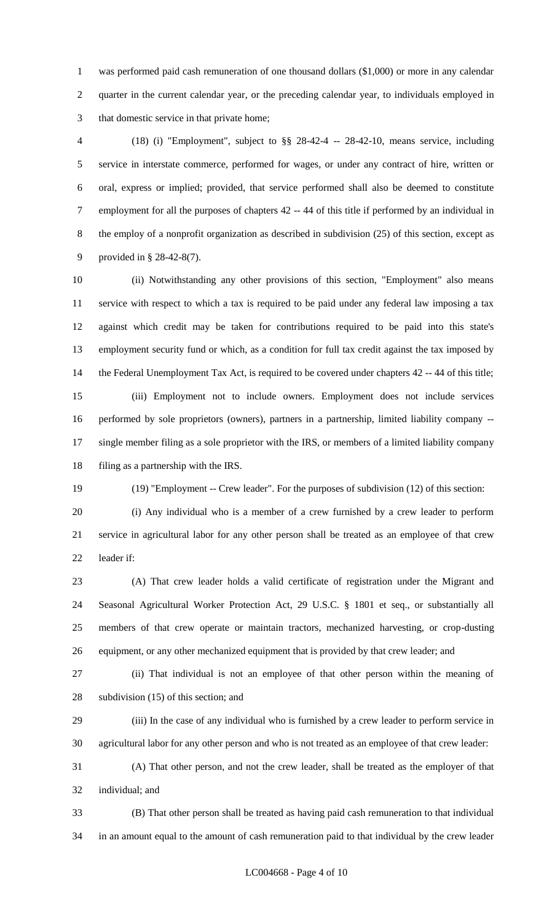was performed paid cash remuneration of one thousand dollars (\$1,000) or more in any calendar quarter in the current calendar year, or the preceding calendar year, to individuals employed in that domestic service in that private home;

 (18) (i) "Employment", subject to §§ 28-42-4 -- 28-42-10, means service, including service in interstate commerce, performed for wages, or under any contract of hire, written or oral, express or implied; provided, that service performed shall also be deemed to constitute employment for all the purposes of chapters 42 -- 44 of this title if performed by an individual in the employ of a nonprofit organization as described in subdivision (25) of this section, except as provided in § 28-42-8(7).

 (ii) Notwithstanding any other provisions of this section, "Employment" also means service with respect to which a tax is required to be paid under any federal law imposing a tax against which credit may be taken for contributions required to be paid into this state's employment security fund or which, as a condition for full tax credit against the tax imposed by 14 the Federal Unemployment Tax Act, is required to be covered under chapters 42 -- 44 of this title; (iii) Employment not to include owners. Employment does not include services performed by sole proprietors (owners), partners in a partnership, limited liability company -- single member filing as a sole proprietor with the IRS, or members of a limited liability company filing as a partnership with the IRS.

(19) "Employment -- Crew leader". For the purposes of subdivision (12) of this section:

 (i) Any individual who is a member of a crew furnished by a crew leader to perform service in agricultural labor for any other person shall be treated as an employee of that crew leader if:

 (A) That crew leader holds a valid certificate of registration under the Migrant and Seasonal Agricultural Worker Protection Act, 29 U.S.C. § 1801 et seq., or substantially all members of that crew operate or maintain tractors, mechanized harvesting, or crop-dusting equipment, or any other mechanized equipment that is provided by that crew leader; and

 (ii) That individual is not an employee of that other person within the meaning of subdivision (15) of this section; and

 (iii) In the case of any individual who is furnished by a crew leader to perform service in agricultural labor for any other person and who is not treated as an employee of that crew leader:

 (A) That other person, and not the crew leader, shall be treated as the employer of that individual; and

 (B) That other person shall be treated as having paid cash remuneration to that individual in an amount equal to the amount of cash remuneration paid to that individual by the crew leader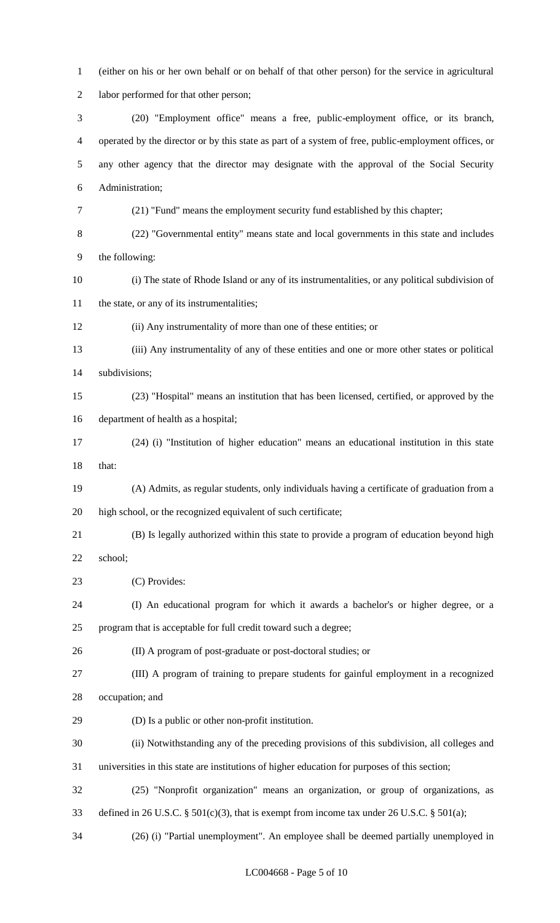(either on his or her own behalf or on behalf of that other person) for the service in agricultural labor performed for that other person; (20) "Employment office" means a free, public-employment office, or its branch, operated by the director or by this state as part of a system of free, public-employment offices, or any other agency that the director may designate with the approval of the Social Security Administration; (21) "Fund" means the employment security fund established by this chapter; (22) "Governmental entity" means state and local governments in this state and includes the following: (i) The state of Rhode Island or any of its instrumentalities, or any political subdivision of 11 the state, or any of its instrumentalities; (ii) Any instrumentality of more than one of these entities; or (iii) Any instrumentality of any of these entities and one or more other states or political subdivisions; (23) "Hospital" means an institution that has been licensed, certified, or approved by the department of health as a hospital; (24) (i) "Institution of higher education" means an educational institution in this state that: (A) Admits, as regular students, only individuals having a certificate of graduation from a high school, or the recognized equivalent of such certificate; (B) Is legally authorized within this state to provide a program of education beyond high school; (C) Provides: (I) An educational program for which it awards a bachelor's or higher degree, or a program that is acceptable for full credit toward such a degree; (II) A program of post-graduate or post-doctoral studies; or (III) A program of training to prepare students for gainful employment in a recognized occupation; and (D) Is a public or other non-profit institution. (ii) Notwithstanding any of the preceding provisions of this subdivision, all colleges and universities in this state are institutions of higher education for purposes of this section; (25) "Nonprofit organization" means an organization, or group of organizations, as defined in 26 U.S.C. § 501(c)(3), that is exempt from income tax under 26 U.S.C. § 501(a); (26) (i) "Partial unemployment". An employee shall be deemed partially unemployed in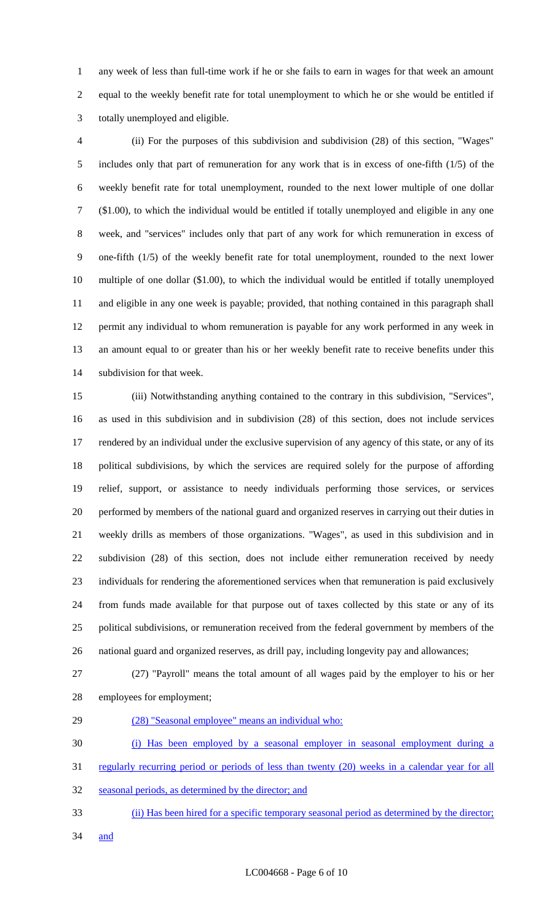any week of less than full-time work if he or she fails to earn in wages for that week an amount equal to the weekly benefit rate for total unemployment to which he or she would be entitled if totally unemployed and eligible.

 (ii) For the purposes of this subdivision and subdivision (28) of this section, "Wages" includes only that part of remuneration for any work that is in excess of one-fifth (1/5) of the weekly benefit rate for total unemployment, rounded to the next lower multiple of one dollar (\$1.00), to which the individual would be entitled if totally unemployed and eligible in any one week, and "services" includes only that part of any work for which remuneration in excess of one-fifth (1/5) of the weekly benefit rate for total unemployment, rounded to the next lower multiple of one dollar (\$1.00), to which the individual would be entitled if totally unemployed and eligible in any one week is payable; provided, that nothing contained in this paragraph shall permit any individual to whom remuneration is payable for any work performed in any week in an amount equal to or greater than his or her weekly benefit rate to receive benefits under this subdivision for that week.

 (iii) Notwithstanding anything contained to the contrary in this subdivision, "Services", as used in this subdivision and in subdivision (28) of this section, does not include services rendered by an individual under the exclusive supervision of any agency of this state, or any of its political subdivisions, by which the services are required solely for the purpose of affording relief, support, or assistance to needy individuals performing those services, or services performed by members of the national guard and organized reserves in carrying out their duties in weekly drills as members of those organizations. "Wages", as used in this subdivision and in subdivision (28) of this section, does not include either remuneration received by needy individuals for rendering the aforementioned services when that remuneration is paid exclusively from funds made available for that purpose out of taxes collected by this state or any of its political subdivisions, or remuneration received from the federal government by members of the national guard and organized reserves, as drill pay, including longevity pay and allowances;

 (27) "Payroll" means the total amount of all wages paid by the employer to his or her employees for employment;

(28) "Seasonal employee" means an individual who:

30 (i) Has been employed by a seasonal employer in seasonal employment during a

31 regularly recurring period or periods of less than twenty (20) weeks in a calendar year for all

- seasonal periods, as determined by the director; and
- (ii) Has been hired for a specific temporary seasonal period as determined by the director;

34 and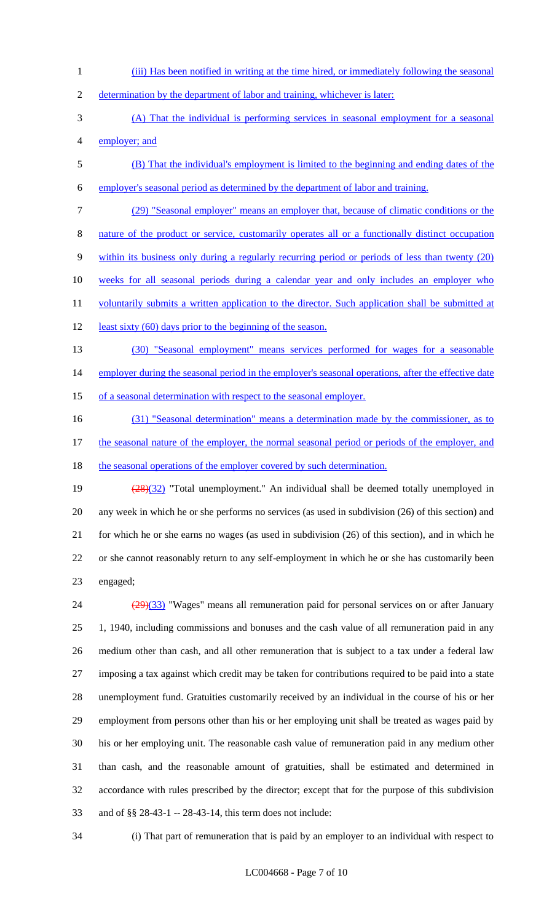- (iii) Has been notified in writing at the time hired, or immediately following the seasonal
- determination by the department of labor and training, whichever is later:
- (A) That the individual is performing services in seasonal employment for a seasonal employer; and
- (B) That the individual's employment is limited to the beginning and ending dates of the employer's seasonal period as determined by the department of labor and training.
- (29) "Seasonal employer" means an employer that, because of climatic conditions or the nature of the product or service, customarily operates all or a functionally distinct occupation
- within its business only during a regularly recurring period or periods of less than twenty (20)
- weeks for all seasonal periods during a calendar year and only includes an employer who
- 11 voluntarily submits a written application to the director. Such application shall be submitted at
- 12 least sixty (60) days prior to the beginning of the season.
- (30) "Seasonal employment" means services performed for wages for a seasonable 14 employer during the seasonal period in the employer's seasonal operations, after the effective date of a seasonal determination with respect to the seasonal employer.
- (31) "Seasonal determination" means a determination made by the commissioner, as to 17 the seasonal nature of the employer, the normal seasonal period or periods of the employer, and 18 the seasonal operations of the employer covered by such determination.
- 19 (28)(32) "Total unemployment." An individual shall be deemed totally unemployed in any week in which he or she performs no services (as used in subdivision (26) of this section) and for which he or she earns no wages (as used in subdivision (26) of this section), and in which he or she cannot reasonably return to any self-employment in which he or she has customarily been engaged;
- 24 (29)(33) "Wages" means all remuneration paid for personal services on or after January 1, 1940, including commissions and bonuses and the cash value of all remuneration paid in any medium other than cash, and all other remuneration that is subject to a tax under a federal law imposing a tax against which credit may be taken for contributions required to be paid into a state unemployment fund. Gratuities customarily received by an individual in the course of his or her employment from persons other than his or her employing unit shall be treated as wages paid by his or her employing unit. The reasonable cash value of remuneration paid in any medium other than cash, and the reasonable amount of gratuities, shall be estimated and determined in accordance with rules prescribed by the director; except that for the purpose of this subdivision and of §§ 28-43-1 -- 28-43-14, this term does not include:
- 

(i) That part of remuneration that is paid by an employer to an individual with respect to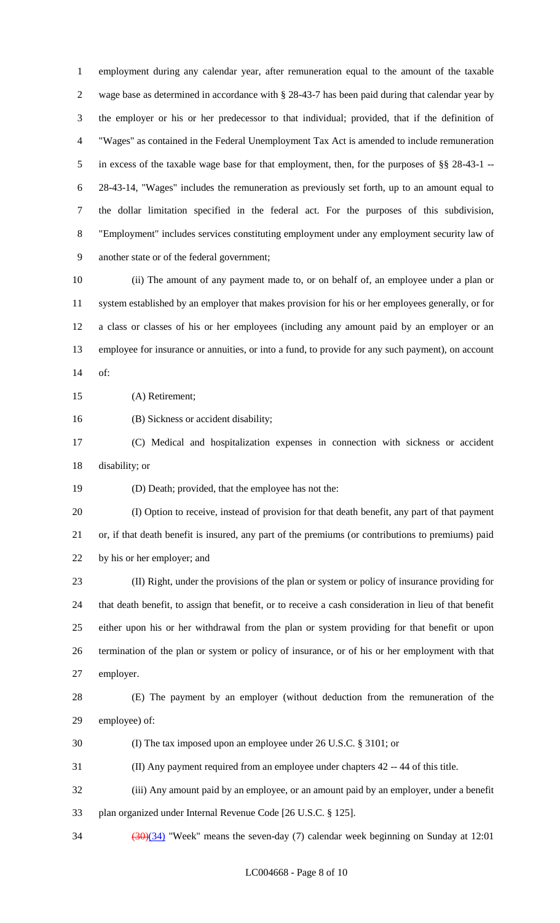employment during any calendar year, after remuneration equal to the amount of the taxable wage base as determined in accordance with § 28-43-7 has been paid during that calendar year by the employer or his or her predecessor to that individual; provided, that if the definition of "Wages" as contained in the Federal Unemployment Tax Act is amended to include remuneration in excess of the taxable wage base for that employment, then, for the purposes of §§ 28-43-1 -- 28-43-14, "Wages" includes the remuneration as previously set forth, up to an amount equal to the dollar limitation specified in the federal act. For the purposes of this subdivision, "Employment" includes services constituting employment under any employment security law of another state or of the federal government;

 (ii) The amount of any payment made to, or on behalf of, an employee under a plan or system established by an employer that makes provision for his or her employees generally, or for a class or classes of his or her employees (including any amount paid by an employer or an employee for insurance or annuities, or into a fund, to provide for any such payment), on account of:

(A) Retirement;

(B) Sickness or accident disability;

 (C) Medical and hospitalization expenses in connection with sickness or accident disability; or

(D) Death; provided, that the employee has not the:

 (I) Option to receive, instead of provision for that death benefit, any part of that payment or, if that death benefit is insured, any part of the premiums (or contributions to premiums) paid by his or her employer; and

 (II) Right, under the provisions of the plan or system or policy of insurance providing for that death benefit, to assign that benefit, or to receive a cash consideration in lieu of that benefit either upon his or her withdrawal from the plan or system providing for that benefit or upon termination of the plan or system or policy of insurance, or of his or her employment with that employer.

 (E) The payment by an employer (without deduction from the remuneration of the employee) of:

(I) The tax imposed upon an employee under 26 U.S.C. § 3101; or

(II) Any payment required from an employee under chapters 42 -- 44 of this title.

 (iii) Any amount paid by an employee, or an amount paid by an employer, under a benefit plan organized under Internal Revenue Code [26 U.S.C. § 125].

(30)(34) "Week" means the seven-day (7) calendar week beginning on Sunday at 12:01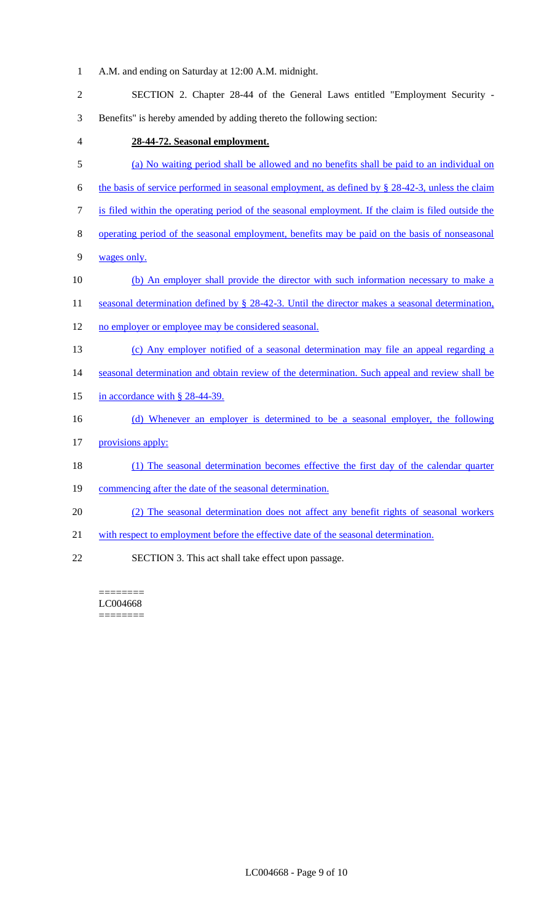- A.M. and ending on Saturday at 12:00 A.M. midnight.
- SECTION 2. Chapter 28-44 of the General Laws entitled "Employment Security Benefits" is hereby amended by adding thereto the following section:
- 

#### **28-44-72. Seasonal employment.**

- (a) No waiting period shall be allowed and no benefits shall be paid to an individual on
- 6 the basis of service performed in seasonal employment, as defined by § 28-42-3, unless the claim
- is filed within the operating period of the seasonal employment. If the claim is filed outside the
- operating period of the seasonal employment, benefits may be paid on the basis of nonseasonal
- wages only.
- (b) An employer shall provide the director with such information necessary to make a
- 11 seasonal determination defined by § 28-42-3. Until the director makes a seasonal determination,
- no employer or employee may be considered seasonal.
- (c) Any employer notified of a seasonal determination may file an appeal regarding a
- 14 seasonal determination and obtain review of the determination. Such appeal and review shall be
- 15 in accordance with § 28-44-39.
- (d) Whenever an employer is determined to be a seasonal employer, the following
- provisions apply:
- (1) The seasonal determination becomes effective the first day of the calendar quarter
- commencing after the date of the seasonal determination.
- (2) The seasonal determination does not affect any benefit rights of seasonal workers
- with respect to employment before the effective date of the seasonal determination.
- SECTION 3. This act shall take effect upon passage.

======== LC004668 ========